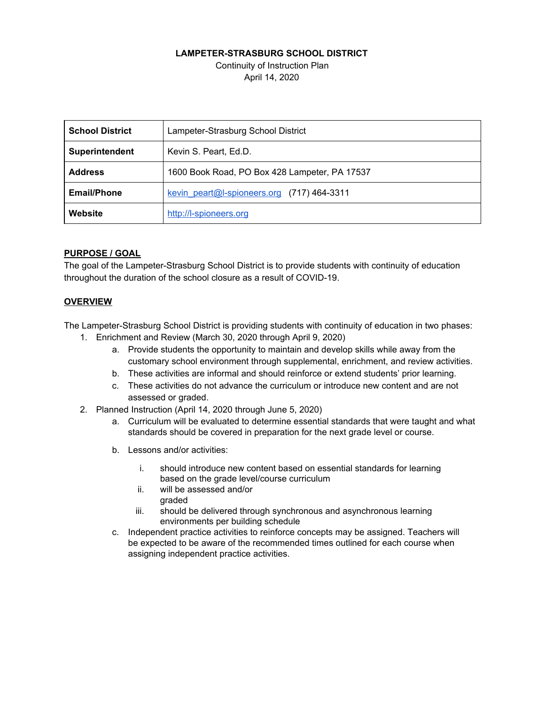### **LAMPETER-STRASBURG SCHOOL DISTRICT**

Continuity of Instruction Plan April 14, 2020

| <b>School District</b> | Lampeter-Strasburg School District            |  |  |
|------------------------|-----------------------------------------------|--|--|
| Superintendent         | Kevin S. Peart, Ed.D.                         |  |  |
| <b>Address</b>         | 1600 Book Road, PO Box 428 Lampeter, PA 17537 |  |  |
| <b>Email/Phone</b>     | kevin peart@I-spioneers.org (717) 464-3311    |  |  |
| Website                | http://l-spioneers.org                        |  |  |

### **PURPOSE / GOAL**

The goal of the Lampeter-Strasburg School District is to provide students with continuity of education throughout the duration of the school closure as a result of COVID-19.

### **OVERVIEW**

The Lampeter-Strasburg School District is providing students with continuity of education in two phases:

- 1. Enrichment and Review (March 30, 2020 through April 9, 2020)
	- a. Provide students the opportunity to maintain and develop skills while away from the customary school environment through supplemental, enrichment, and review activities.
	- b. These activities are informal and should reinforce or extend students' prior learning.
	- c. These activities do not advance the curriculum or introduce new content and are not assessed or graded.
- 2. Planned Instruction (April 14, 2020 through June 5, 2020)
	- a. Curriculum will be evaluated to determine essential standards that were taught and what standards should be covered in preparation for the next grade level or course.
	- b. Lessons and/or activities:
		- i. should introduce new content based on essential standards for learning based on the grade level/course curriculum
		- ii. will be assessed and/or graded
		- iii. should be delivered through synchronous and asynchronous learning environments per building schedule
	- c. Independent practice activities to reinforce concepts may be assigned. Teachers will be expected to be aware of the recommended times outlined for each course when assigning independent practice activities.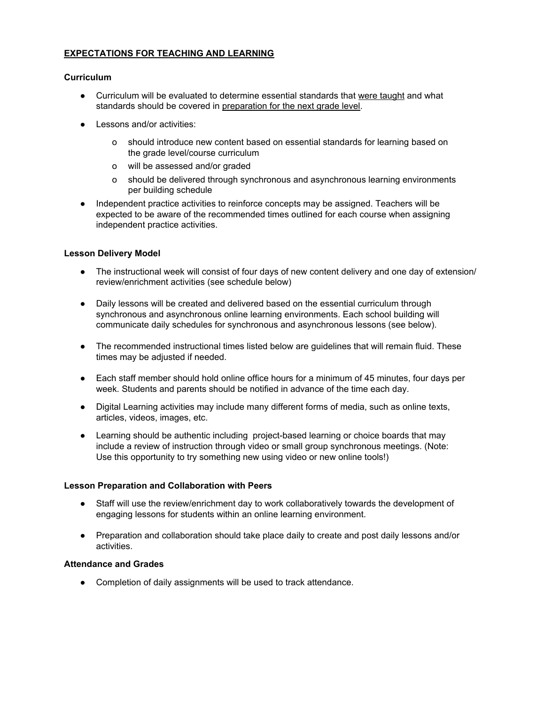### **EXPECTATIONS FOR TEACHING AND LEARNING**

### **Curriculum**

- Curriculum will be evaluated to determine essential standards that were taught and what standards should be covered in preparation for the next grade level.
- Lessons and/or activities:
	- o should introduce new content based on essential standards for learning based on the grade level/course curriculum
	- o will be assessed and/or graded
	- o should be delivered through synchronous and asynchronous learning environments per building schedule
- Independent practice activities to reinforce concepts may be assigned. Teachers will be expected to be aware of the recommended times outlined for each course when assigning independent practice activities.

### **Lesson Delivery Model**

- The instructional week will consist of four days of new content delivery and one day of extension/ review/enrichment activities (see schedule below)
- Daily lessons will be created and delivered based on the essential curriculum through synchronous and asynchronous online learning environments. Each school building will communicate daily schedules for synchronous and asynchronous lessons (see below).
- The recommended instructional times listed below are guidelines that will remain fluid. These times may be adjusted if needed.
- Each staff member should hold online office hours for a minimum of 45 minutes, four days per week. Students and parents should be notified in advance of the time each day.
- Digital Learning activities may include many different forms of media, such as online texts, articles, videos, images, etc.
- Learning should be authentic including project-based learning or choice boards that may include a review of instruction through video or small group synchronous meetings. (Note: Use this opportunity to try something new using video or new online tools!)

#### **Lesson Preparation and Collaboration with Peers**

- Staff will use the review/enrichment day to work collaboratively towards the development of engaging lessons for students within an online learning environment.
- Preparation and collaboration should take place daily to create and post daily lessons and/or activities.

### **Attendance and Grades**

● Completion of daily assignments will be used to track attendance.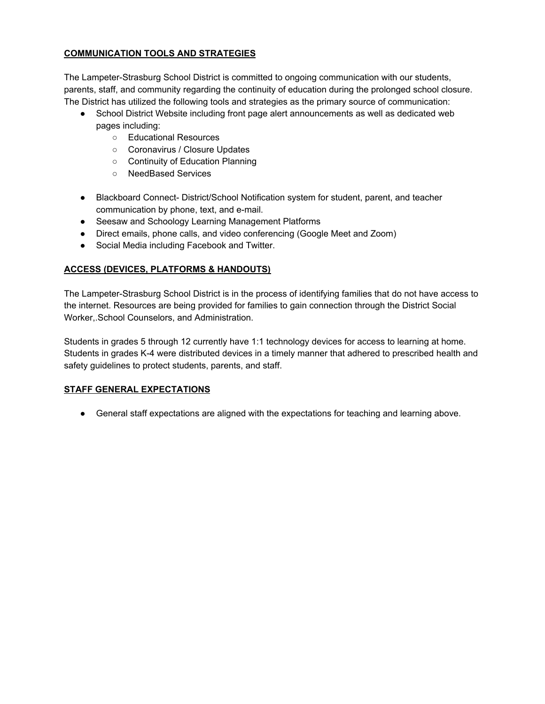## **COMMUNICATION TOOLS AND STRATEGIES**

The Lampeter-Strasburg School District is committed to ongoing communication with our students, parents, staff, and community regarding the continuity of education during the prolonged school closure. The District has utilized the following tools and strategies as the primary source of communication:

- School District Website including front page alert announcements as well as dedicated web pages including:
	- Educational Resources
	- Coronavirus / Closure Updates
	- Continuity of Education Planning
	- NeedBased Services
- Blackboard Connect- District/School Notification system for student, parent, and teacher communication by phone, text, and e-mail.
- Seesaw and Schoology Learning Management Platforms
- Direct emails, phone calls, and video conferencing (Google Meet and Zoom)
- Social Media including Facebook and Twitter.

## **ACCESS (DEVICES, PLATFORMS & HANDOUTS)**

The Lampeter-Strasburg School District is in the process of identifying families that do not have access to the internet. Resources are being provided for families to gain connection through the District Social Worker,.School Counselors, and Administration.

Students in grades 5 through 12 currently have 1:1 technology devices for access to learning at home. Students in grades K-4 were distributed devices in a timely manner that adhered to prescribed health and safety guidelines to protect students, parents, and staff.

## **STAFF GENERAL EXPECTATIONS**

● General staff expectations are aligned with the expectations for teaching and learning above.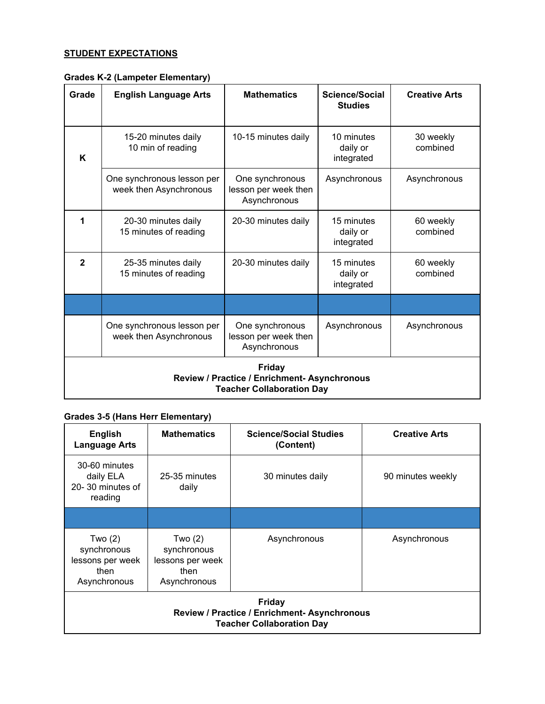## **STUDENT EXPECTATIONS**

|  | Grades K-2 (Lampeter Elementary) |  |
|--|----------------------------------|--|
|--|----------------------------------|--|

| Grade                                                                                             | <b>English Language Arts</b>                         | <b>Mathematics</b>                                      | Science/Social<br><b>Studies</b>     | <b>Creative Arts</b>  |
|---------------------------------------------------------------------------------------------------|------------------------------------------------------|---------------------------------------------------------|--------------------------------------|-----------------------|
| K                                                                                                 | 15-20 minutes daily<br>10 min of reading             | 10-15 minutes daily                                     | 10 minutes<br>daily or<br>integrated | 30 weekly<br>combined |
|                                                                                                   | One synchronous lesson per<br>week then Asynchronous | One synchronous<br>lesson per week then<br>Asynchronous | Asynchronous                         | Asynchronous          |
| 1                                                                                                 | 20-30 minutes daily<br>15 minutes of reading         | 20-30 minutes daily                                     | 15 minutes<br>daily or<br>integrated | 60 weekly<br>combined |
| $\mathbf{2}$                                                                                      | 25-35 minutes daily<br>15 minutes of reading         | 20-30 minutes daily                                     | 15 minutes<br>daily or<br>integrated | 60 weekly<br>combined |
|                                                                                                   |                                                      |                                                         |                                      |                       |
|                                                                                                   | One synchronous lesson per<br>week then Asynchronous | One synchronous<br>lesson per week then<br>Asynchronous | Asynchronous                         | Asynchronous          |
| <b>Friday</b><br>Review / Practice / Enrichment- Asynchronous<br><b>Teacher Collaboration Day</b> |                                                      |                                                         |                                      |                       |

# **Grades 3-5 (Hans Herr Elementary)**

| <b>English</b><br><b>Language Arts</b>                                                            | <b>Mathematics</b>                                                 | <b>Science/Social Studies</b><br>(Content) | <b>Creative Arts</b> |  |
|---------------------------------------------------------------------------------------------------|--------------------------------------------------------------------|--------------------------------------------|----------------------|--|
| 30-60 minutes<br>daily ELA<br>20-30 minutes of<br>reading                                         | 25-35 minutes<br>daily                                             | 30 minutes daily                           | 90 minutes weekly    |  |
|                                                                                                   |                                                                    |                                            |                      |  |
| Two $(2)$<br>synchronous<br>lessons per week<br>then<br>Asynchronous                              | Two (2)<br>synchronous<br>lessons per week<br>then<br>Asynchronous | Asynchronous                               | Asynchronous         |  |
| <b>Friday</b><br>Review / Practice / Enrichment- Asynchronous<br><b>Teacher Collaboration Day</b> |                                                                    |                                            |                      |  |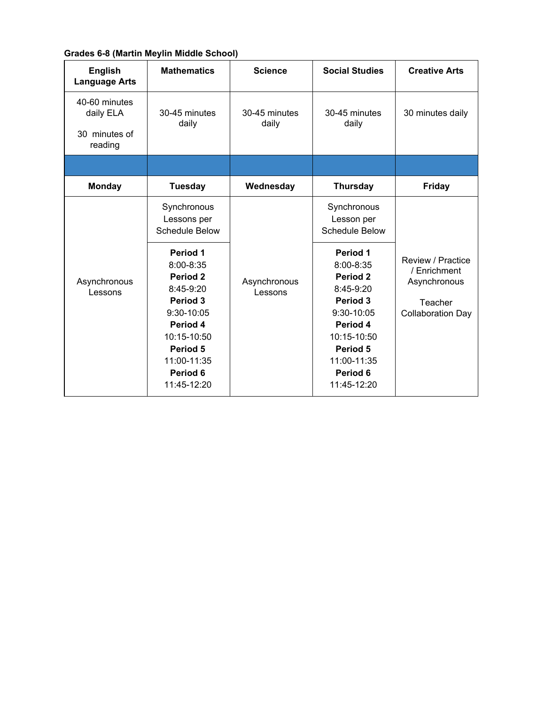## **Grades 6-8 (Martin Meylin Middle School)**

| <b>English</b><br><b>Language Arts</b>                 | <b>Mathematics</b>                                                                                                                                                                                                          | <b>Science</b>          | <b>Social Studies</b>                                                                                                                                                                                           | <b>Creative Arts</b>                                                                     |
|--------------------------------------------------------|-----------------------------------------------------------------------------------------------------------------------------------------------------------------------------------------------------------------------------|-------------------------|-----------------------------------------------------------------------------------------------------------------------------------------------------------------------------------------------------------------|------------------------------------------------------------------------------------------|
| 40-60 minutes<br>daily ELA<br>30 minutes of<br>reading | 30-45 minutes<br>daily                                                                                                                                                                                                      | 30-45 minutes<br>daily  | 30-45 minutes<br>daily                                                                                                                                                                                          | 30 minutes daily                                                                         |
|                                                        |                                                                                                                                                                                                                             |                         |                                                                                                                                                                                                                 |                                                                                          |
| <b>Monday</b>                                          | <b>Tuesday</b>                                                                                                                                                                                                              | Wednesday               | <b>Thursday</b>                                                                                                                                                                                                 | <b>Friday</b>                                                                            |
| Asynchronous<br>Lessons                                | Synchronous<br>Lessons per<br><b>Schedule Below</b><br>Period 1<br>8:00-8:35<br>Period <sub>2</sub><br>8:45-9:20<br>Period 3<br>9:30-10:05<br>Period 4<br>10:15-10:50<br>Period 5<br>11:00-11:35<br>Period 6<br>11:45-12:20 | Asynchronous<br>Lessons | Synchronous<br>Lesson per<br><b>Schedule Below</b><br>Period 1<br>8:00-8:35<br>Period 2<br>8:45-9:20<br>Period 3<br>9:30-10:05<br>Period 4<br>10:15-10:50<br>Period 5<br>11:00-11:35<br>Period 6<br>11:45-12:20 | Review / Practice<br>/ Enrichment<br>Asynchronous<br>Teacher<br><b>Collaboration Day</b> |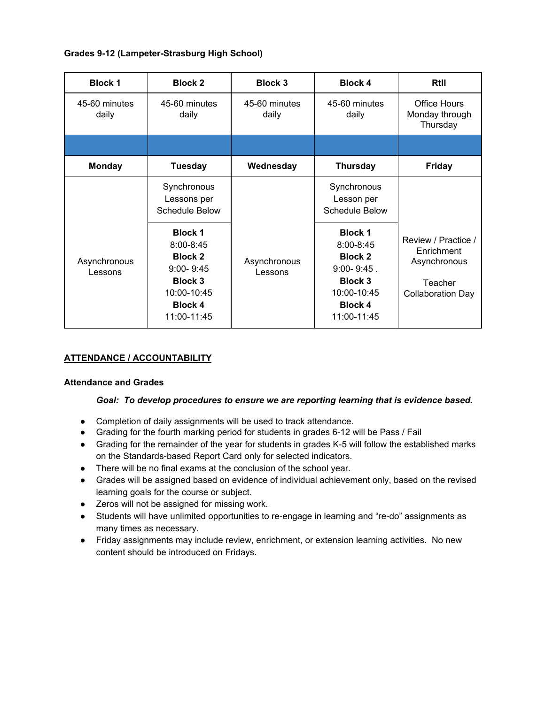## **Grades 9-12 (Lampeter-Strasburg High School)**

| <b>Block 1</b>          | <b>Block 2</b>                                                                                                                       | <b>Block 3</b>          | <b>Block 4</b>                                                                                                                         | RtII                                                                                     |
|-------------------------|--------------------------------------------------------------------------------------------------------------------------------------|-------------------------|----------------------------------------------------------------------------------------------------------------------------------------|------------------------------------------------------------------------------------------|
| 45-60 minutes<br>daily  | 45-60 minutes<br>daily                                                                                                               | 45-60 minutes<br>daily  | 45-60 minutes<br>daily                                                                                                                 | Office Hours<br>Monday through<br>Thursday                                               |
|                         |                                                                                                                                      |                         |                                                                                                                                        |                                                                                          |
| <b>Monday</b>           | <b>Tuesday</b>                                                                                                                       | Wednesday               | <b>Thursday</b>                                                                                                                        | <b>Friday</b>                                                                            |
|                         | Synchronous<br>Lessons per<br><b>Schedule Below</b>                                                                                  |                         | Synchronous<br>Lesson per<br><b>Schedule Below</b>                                                                                     |                                                                                          |
| Asynchronous<br>Lessons | <b>Block 1</b><br>$8:00 - 8:45$<br><b>Block 2</b><br>$9:00 - 9:45$<br><b>Block 3</b><br>10:00-10:45<br><b>Block 4</b><br>11:00-11:45 | Asynchronous<br>Lessons | <b>Block 1</b><br>$8:00 - 8:45$<br><b>Block 2</b><br>$9:00 - 9:45$ .<br><b>Block 3</b><br>10:00-10:45<br><b>Block 4</b><br>11:00-11:45 | Review / Practice /<br>Enrichment<br>Asynchronous<br>Teacher<br><b>Collaboration Day</b> |

## **ATTENDANCE / ACCOUNTABILITY**

### **Attendance and Grades**

### *Goal: To develop procedures to ensure we are reporting learning that is evidence based.*

- Completion of daily assignments will be used to track attendance.
- Grading for the fourth marking period for students in grades 6-12 will be Pass / Fail
- Grading for the remainder of the year for students in grades K-5 will follow the established marks on the Standards-based Report Card only for selected indicators.
- There will be no final exams at the conclusion of the school year.
- Grades will be assigned based on evidence of individual achievement only, based on the revised learning goals for the course or subject.
- Zeros will not be assigned for missing work.
- Students will have unlimited opportunities to re-engage in learning and "re-do" assignments as many times as necessary.
- Friday assignments may include review, enrichment, or extension learning activities. No new content should be introduced on Fridays.